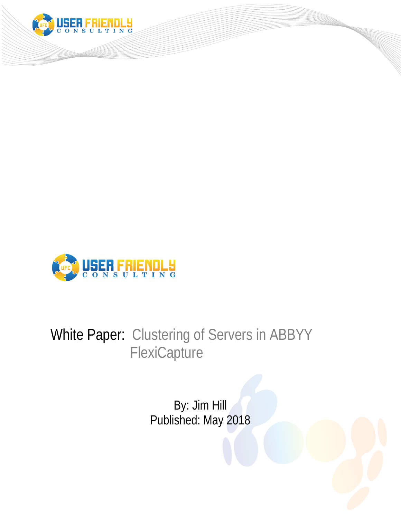



# White Paper: Clustering of Servers in ABBYY **FlexiCapture**

By: Jim Hill Published: May 2018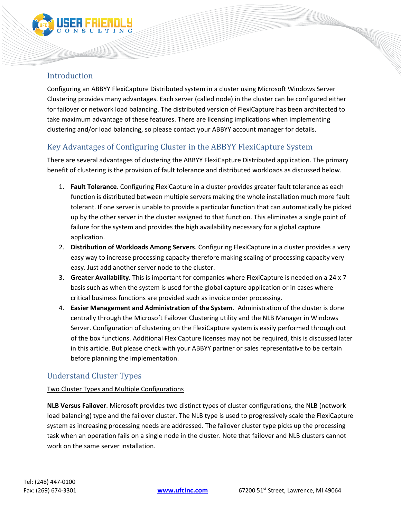

## Introduction

Configuring an ABBYY FlexiCapture Distributed system in a cluster using Microsoft Windows Server Clustering provides many advantages. Each server (called node) in the cluster can be configured either for failover or network load balancing. The distributed version of FlexiCapture has been architected to take maximum advantage of these features. There are licensing implications when implementing clustering and/or load balancing, so please contact your ABBYY account manager for details.

## Key Advantages of Configuring Cluster in the ABBYY FlexiCapture System

There are several advantages of clustering the ABBYY FlexiCapture Distributed application. The primary benefit of clustering is the provision of fault tolerance and distributed workloads as discussed below.

- 1. **Fault Tolerance**. Configuring FlexiCapture in a cluster provides greater fault tolerance as each function is distributed between multiple servers making the whole installation much more fault tolerant. If one server is unable to provide a particular function that can automatically be picked up by the other server in the cluster assigned to that function. This eliminates a single point of failure for the system and provides the high availability necessary for a global capture application.
- 2. **Distribution of Workloads Among Servers**. Configuring FlexiCapture in a cluster provides a very easy way to increase processing capacity therefore making scaling of processing capacity very easy. Just add another server node to the cluster.
- 3. **Greater Availability**. This is important for companies where FlexiCapture is needed on a 24 x 7 basis such as when the system is used for the global capture application or in cases where critical business functions are provided such as invoice order processing.
- 4. **Easier Management and Administration of the System**. Administration of the cluster is done centrally through the Microsoft Failover Clustering utility and the NLB Manager in Windows Server. Configuration of clustering on the FlexiCapture system is easily performed through out of the box functions. Additional FlexiCapture licenses may not be required, this is discussed later in this article. But please check with your ABBYY partner or sales representative to be certain before planning the implementation.

## Understand Cluster Types

#### Two Cluster Types and Multiple Configurations

**NLB Versus Failover**. Microsoft provides two distinct types of cluster configurations, the NLB (network load balancing) type and the failover cluster. The NLB type is used to progressively scale the FlexiCapture system as increasing processing needs are addressed. The failover cluster type picks up the processing task when an operation fails on a single node in the cluster. Note that failover and NLB clusters cannot work on the same server installation.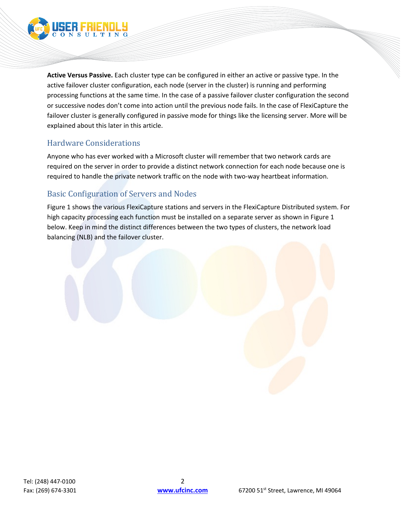

**Active Versus Passive.** Each cluster type can be configured in either an active or passive type. In the active failover cluster configuration, each node (server in the cluster) is running and performing processing functions at the same time. In the case of a passive failover cluster configuration the second or successive nodes don't come into action until the previous node fails. In the case of FlexiCapture the failover cluster is generally configured in passive mode for things like the licensing server. More will be explained about this later in this article.

## Hardware Considerations

Anyone who has ever worked with a Microsoft cluster will remember that two network cards are required on the server in order to provide a distinct network connection for each node because one is required to handle the private network traffic on the node with two-way heartbeat information.

## Basic Configuration of Servers and Nodes

Figure 1 shows the various FlexiCapture stations and servers in the FlexiCapture Distributed system. For high capacity processing each function must be installed on a separate server as shown in Figure 1 below. Keep in mind the distinct differences between the two types of clusters, the network load balancing (NLB) and the failover cluster.

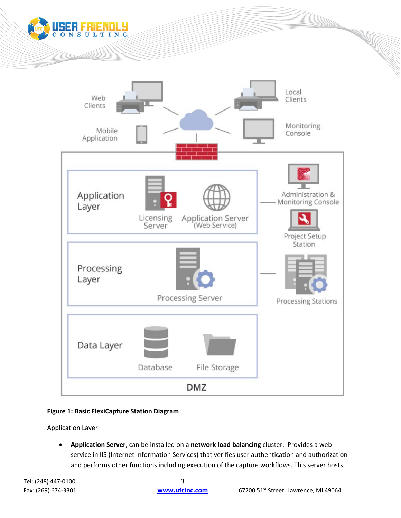



### **Figure 1: Basic FlexiCapture Station Diagram**

Application Layer

• **Application Server**, can be installed on a **network load balancing** cluster. Provides a web service in IIS (Internet Information Services) that verifies user authentication and authorization and performs other functions including execution of the capture workflows. This server hosts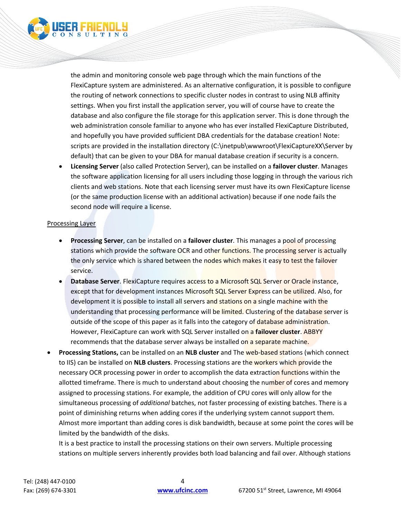

the admin and monitoring console web page through which the main functions of the FlexiCapture system are administered. As an alternative configuration, it is possible to configure the routing of network connections to specific cluster nodes in contrast to using NLB affinity settings. When you first install the application server, you will of course have to create the database and also configure the file storage for this application server. This is done through the web administration console familiar to anyone who has ever installed FlexiCapture Distributed, and hopefully you have provided sufficient DBA credentials for the database creation! Note: scripts are provided in the installation directory (C:\inetpub\wwwroot\FlexiCaptureXX\Server by default) that can be given to your DBA for manual database creation if security is a concern.

• **Licensing Server** (also called Protection Server), can be installed on a **failover cluster**. Manages the software application licensing for all users including those logging in through the various rich clients and web stations. Note that each licensing server must have its own FlexiCapture license (or the same production license with an additional activation) because if one node fails the second node will require a license.

#### Processing Layer

- **Processing Server**, can be installed on a **failover cluster**. This manages a pool of processing stations which provide the software OCR and other functions. The processing server is actually the only service which is shared between the nodes which makes it easy to test the failover service.
- **Database Server**. FlexiCapture requires access to a Microsoft SQL Server or Oracle instance, except that for development instances Microsoft SQL Server Express can be utilized. Also, for development it is possible to install all servers and stations on a single machine with the understanding that processing performance will be limited. Clustering of the database server is outside of the scope of this paper as it falls into the category of database administration. However, FlexiCapture can work with SQL Server installed on a **failover cluster**. ABBYY recommends that the database server always be installed on a separate machine.
- **Processing Stations,** can be installed on an **NLB cluster** and The web-based stations (which connect to IIS) can be installed on **NLB clusters**. Processing stations are the workers which provide the necessary OCR processing power in order to accomplish the data extraction functions within the allotted timeframe. There is much to understand about choosing the number of cores and memory assigned to processing stations. For example, the addition of CPU cores will only allow for the simultaneous processing of *additional* batches, not faster processing of existing batches. There is a point of diminishing returns when adding cores if the underlying system cannot support them. Almost more important than adding cores is disk bandwidth, because at some point the cores will be limited by the bandwidth of the disks.

It is a best practice to install the processing stations on their own servers. Multiple processing stations on multiple servers inherently provides both load balancing and fail over. Although stations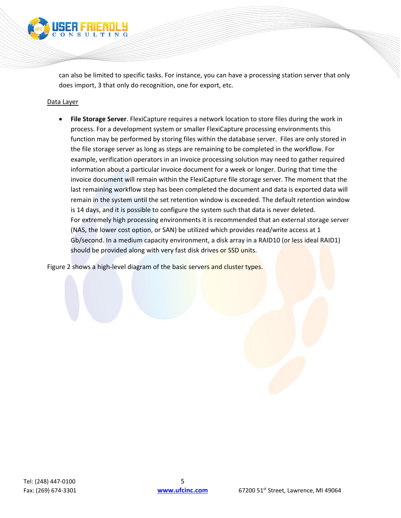

can also be limited to specific tasks. For instance, you can have a processing station server that only does import, 3 that only do recognition, one for export, etc.

#### Data Layer

• **File Storage Server**. FlexiCapture requires a network location to store files during the work in process. For a development system or smaller FlexiCapture processing environments this function may be performed by storing files within the database server. Files are only stored in the file storage server as long as steps are remaining to be completed in the workflow. For example, verification operators in an invoice processing solution may need to gather required information about a particular invoice document for a week or longer. During that time the invoice document will remain within the FlexiCapture file storage server. The moment that the last remaining workflow step has been completed the document and data is exported data will remain in the system until the set retention window is exceeded. The default retention window is 14 days, and it is possible to configure the system such that data is never deleted. For extremely high processing environments it is recommended that an external storage server (NAS, the lower cost option, or SAN) be utilized which provides read/write access at 1 Gb/second. In a medium capacity environment, a disk array in a RAID10 (or less ideal RAID1) should be provided along with very fast disk drives or SSD units.

Figure 2 shows a high-level diagram of the basic servers and cluster types.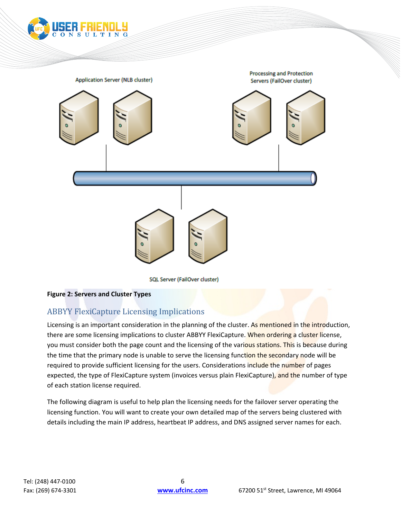

**SQL Server (FailOver cluster)** 

#### **Figure 2: Servers and Cluster Types**

## ABBYY FlexiCapture Licensing Implications

Licensing is an important consideration in the planning of the cluster. As mentioned in the introduction, there are some licensing implications to cluster ABBYY FlexiCapture. When ordering a cluster license, you must consider both the page count and the licensing of the various stations. This is because during the time that the primary node is unable to serve the licensing function the secondary node will be required to provide sufficient licensing for the users. Considerations include the number of pages expected, the type of FlexiCapture system (invoices versus plain FlexiCapture), and the number of type of each station license required.

The following diagram is useful to help plan the licensing needs for the failover server operating the licensing function. You will want to create your own detailed map of the servers being clustered with details including the main IP address, heartbeat IP address, and DNS assigned server names for each.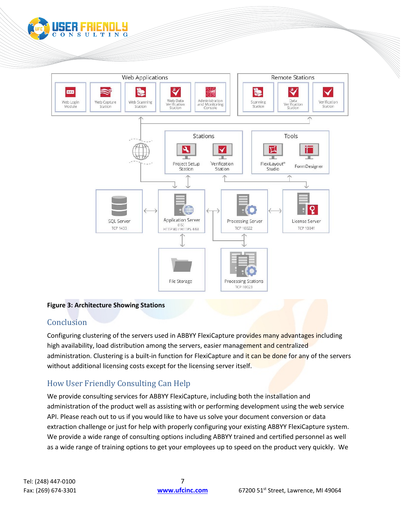

#### **Figure 3: Architecture Showing Stations**

## **Conclusion**

Configuring clustering of the servers used in ABBYY FlexiCapture provides many advantages including high availability, load distribution among the servers, easier management and centralized administration. Clustering is a built-in function for FlexiCapture and it can be done for any of the servers without additional licensing costs except for the licensing server itself.

## How User Friendly Consulting Can Help

We provide consulting services for ABBYY FlexiCapture, including both the installation and administration of the product well as assisting with or performing development using the web service API. Please reach out to us if you would like to have us solve your document conversion or data extraction challenge or just for help with properly configuring your existing ABBYY FlexiCapture system. We provide a wide range of consulting options including ABBYY trained and certified personnel as well as a wide range of training options to get your employees up to speed on the product very quickly. We